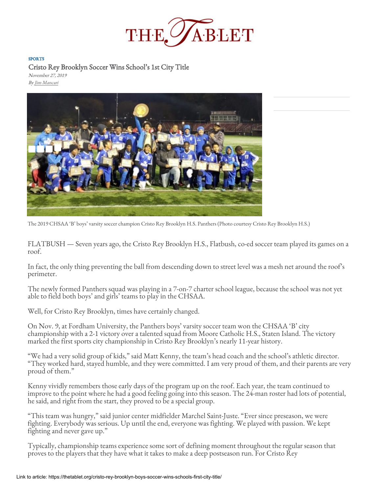

## SPORTS

[Cristo Rey Brooklyn Soccer Wins School's 1st City Title](https://thetablet.org/)

November 27, 2019 By [Jim Mancari](https://thetablet.org/author/jmancari/)



The 2019 CHSAA 'B' boys' varsity soccer champion Cristo Rey Brooklyn H.S. Panthers (Photo courtesy Cristo Rey Brooklyn H.S.)

[FLATBUSH — Seven years ago, the Cristo Rey Brooklyn H.S., Flatbush,](https://thetablet.org/wp-content/uploads/2019/11/cristo-rey-soccer.jpg) co-ed soccer team played its games on a roof.

In fact, the only thing preventing the ball from descending down to street level was a mesh net around the roof's perimeter.

The newly formed Panthers squad was playing in a 7-on-7 charter school leag[ue, because the school was not yet](https://googleads.g.doubleclick.net/pcs/click?xai=AKAOjsuWodt5ZdFQUvRpESJ_C6WlDj4aHtkf1EgCtW8IpTspZ9O6bVeKpkkuXyg0EyVQW1AyVl_4oMPRNX9WA6Q-H_txXy9SJJckAuSOqfud7saTJYTLxNiBNasNsEw-XHxGlUw6wYp_L7PT1OM4-PGH8gViW9ENJYyc4TVmUTfGkKpeJpU3KGxhoL8NQXHgL8z_yarqS2MtowEY4h_Jnwni9zs1Msodf3zLplKTgjIgW79nVoxtJAtRAhOUZAwEkdaCfHk8Ttuv9vwZYyyNPaPNGX6EWPj704p5dQ&sig=Cg0ArKJSzMzpD-u1YPhI&adurl=https://www.monasterygiftshop.org/&nx=CLICK_X&ny=CLICK_Y)  able to field both boys' and girls' teams to play in the CHSAA.

Well, for Cristo Rey Brooklyn, times have certainly changed.

On Nov. 9, at Fordham University, the Panthers boys' varsity soccer team won the CHSAA 'B' city championship with a 2-1 victory over a talented squad from Moore Catholic H.S., Staten Island. The victory marked the first sports city championship in Cristo Rey Brooklyn's nearly 11-year history.

"We had a very solid group of kids," said Matt Kenny, the team's head coach and the school's athletic director. "They worked hard, stayed humble, and they were committed. I am very prou[d of them, and their parents are very](http://googleads.g.doubleclick.net/pcs/click?xai=AKAOjsvOl7jWiJiEFkU1FJjTpUg94gYEZU-kpySsuxlUKacpqFePgbz88b7dcdz4nPoy8pEORurcouGj7665TJ_pdyHvN_3leHSlfEPEpPGgGZ4OXd9JKmcoc_iqOxr_sKCmWGQC7ne11ThC4yAa5jpF5olv9RNGUPUEi-Z2NLz_q-hp_Zfq6FNsjyzbjUHb2FsNbIg86Er2sSocnnv5nkvG3rezyNHGsl4YJpGEVxCBXMHBrCZghnJtzFKbx5la4Sy2bxVb7HqwZYYhbygXoYjGiiKJunoPUsfhbQ&sig=Cg0ArKJSzJGOYGjRHKvK&adurl=http://basilicaofreginapacis.org/st-josephs-columbarium/&nx=CLICK_X&ny=CLICK_Y)  proud of them."

Kenny vividly remembers those early days of the program up on the roof. Each year, the team continued to improve to the point where he had a good feeling going into this season. The 24-man roster had lots of potential, he said, and right from the start, they proved to be a special group.

Typically, championship teams experience some sort of defining moment throughout the regular season that proves to the players that they have what it takes to make a deep postseason run. For Cristo Rey

<sup>&</sup>quot;This team was hungry," said junior center midfielder Marchel Saint-Juste. "Ever since preseason, we were fighting. Everybody was serious. Up until the end, everyone was fighting. We played with passion. We kept fighting and never gave up."